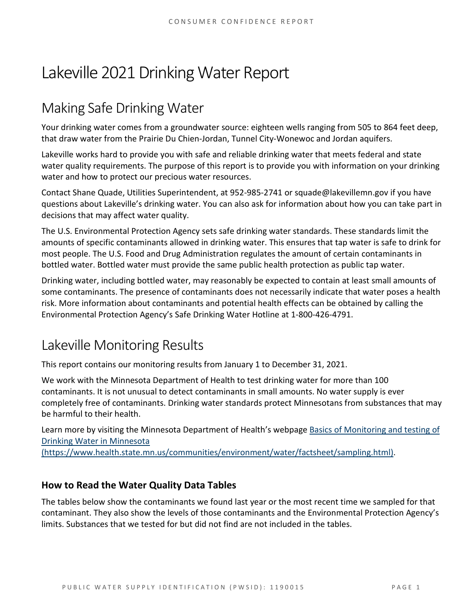# Lakeville 2021 Drinking Water Report

# Making Safe Drinking Water

Your drinking water comes from a groundwater source: eighteen wells ranging from 505 to 864 feet deep, that draw water from the Prairie Du Chien-Jordan, Tunnel City-Wonewoc and Jordan aquifers.

Lakeville works hard to provide you with safe and reliable drinking water that meets federal and state water quality requirements. The purpose of this report is to provide you with information on your drinking water and how to protect our precious water resources.

Contact Shane Quade, Utilities Superintendent, at 952-985-2741 or squade@lakevillemn.gov if you have questions about Lakeville's drinking water. You can also ask for information about how you can take part in decisions that may affect water quality.

The U.S. Environmental Protection Agency sets safe drinking water standards. These standards limit the amounts of specific contaminants allowed in drinking water. This ensures that tap water is safe to drink for most people. The U.S. Food and Drug Administration regulates the amount of certain contaminants in bottled water. Bottled water must provide the same public health protection as public tap water.

Drinking water, including bottled water, may reasonably be expected to contain at least small amounts of some contaminants. The presence of contaminants does not necessarily indicate that water poses a health risk. More information about contaminants and potential health effects can be obtained by calling the Environmental Protection Agency's Safe Drinking Water Hotline at 1-800-426-4791.

# Lakeville Monitoring Results

This report contains our monitoring results from January 1 to December 31, 2021.

We work with the Minnesota Department of Health to test drinking water for more than 100 contaminants. It is not unusual to detect contaminants in small amounts. No water supply is ever completely free of contaminants. Drinking water standards protect Minnesotans from substances that may be harmful to their health.

Learn more by visiting the Minnesota Department of Health's webpage [Basics of Monitoring and testing of](https://www.health.state.mn.us/communities/environment/water/factsheet/sampling.html)  [Drinking Water in Minnesota](https://www.health.state.mn.us/communities/environment/water/factsheet/sampling.html) 

[\(https://www.health.state.mn.us/communities/environment/water/factsheet/sampling.html\).](https://www.health.state.mn.us/communities/environment/water/factsheet/sampling.html)

# **How to Read the Water Quality Data Tables**

The tables below show the contaminants we found last year or the most recent time we sampled for that contaminant. They also show the levels of those contaminants and the Environmental Protection Agency's limits. Substances that we tested for but did not find are not included in the tables.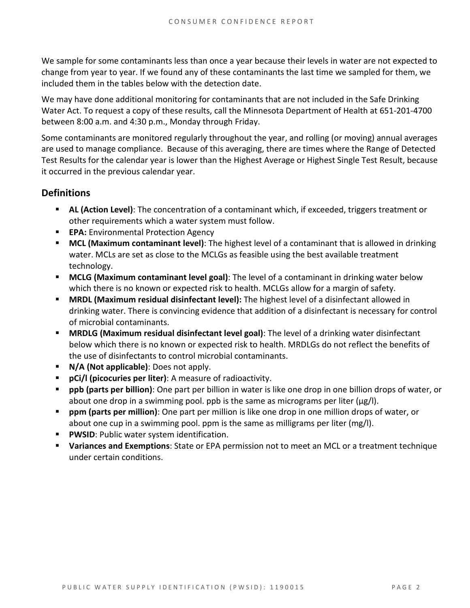We sample for some contaminants less than once a year because their levels in water are not expected to change from year to year. If we found any of these contaminants the last time we sampled for them, we included them in the tables below with the detection date.

We may have done additional monitoring for contaminants that are not included in the Safe Drinking Water Act. To request a copy of these results, call the Minnesota Department of Health at 651-201-4700 between 8:00 a.m. and 4:30 p.m., Monday through Friday.

Some contaminants are monitored regularly throughout the year, and rolling (or moving) annual averages are used to manage compliance. Because of this averaging, there are times where the Range of Detected Test Results for the calendar year is lower than the Highest Average or Highest Single Test Result, because it occurred in the previous calendar year.

## **Definitions**

- **AL (Action Level)**: The concentration of a contaminant which, if exceeded, triggers treatment or other requirements which a water system must follow.
- **EPA:** Environmental Protection Agency
- **MCL (Maximum contaminant level)**: The highest level of a contaminant that is allowed in drinking water. MCLs are set as close to the MCLGs as feasible using the best available treatment technology.
- **MCLG (Maximum contaminant level goal)**: The level of a contaminant in drinking water below which there is no known or expected risk to health. MCLGs allow for a margin of safety.
- **MRDL (Maximum residual disinfectant level):** The highest level of a disinfectant allowed in drinking water. There is convincing evidence that addition of a disinfectant is necessary for control of microbial contaminants.
- **MRDLG (Maximum residual disinfectant level goal)**: The level of a drinking water disinfectant below which there is no known or expected risk to health. MRDLGs do not reflect the benefits of the use of disinfectants to control microbial contaminants.
- **N/A (Not applicable)**: Does not apply.
- **pCi/l (picocuries per liter)**: A measure of radioactivity.
- **ppb (parts per billion)**: One part per billion in water is like one drop in one billion drops of water, or about one drop in a swimming pool. ppb is the same as micrograms per liter (μg/l).
- **ppm (parts per million)**: One part per million is like one drop in one million drops of water, or about one cup in a swimming pool. ppm is the same as milligrams per liter (mg/l).
- **PWSID**: Public water system identification.
- **Variances and Exemptions**: State or EPA permission not to meet an MCL or a treatment technique under certain conditions.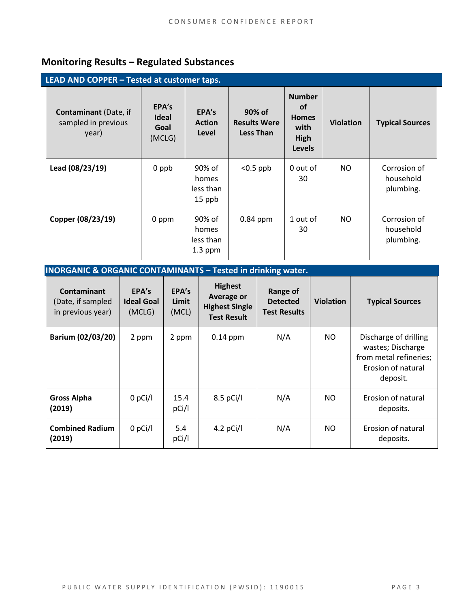# **Monitoring Results – Regulated Substances**

| LEAD AND COPPER - Tested at customer taps.                   |                                  |                                           |                                                   |                                                                             |                  |                                        |  |
|--------------------------------------------------------------|----------------------------------|-------------------------------------------|---------------------------------------------------|-----------------------------------------------------------------------------|------------------|----------------------------------------|--|
| <b>Contaminant</b> (Date, if<br>sampled in previous<br>year) | EPA's<br>Ideal<br>Goal<br>(MCLG) | EPA's<br><b>Action</b><br>Level           | 90% of<br><b>Results Were</b><br><b>Less Than</b> | <b>Number</b><br><b>of</b><br><b>Homes</b><br>with<br>High<br><b>Levels</b> | <b>Violation</b> | <b>Typical Sources</b>                 |  |
| Lead (08/23/19)                                              | 0 ppb                            | 90% of<br>homes<br>less than<br>15 ppb    | $< 0.5$ ppb                                       | 0 out of<br>30                                                              | NO.              | Corrosion of<br>household<br>plumbing. |  |
| Copper (08/23/19)                                            | 0 ppm                            | 90% of<br>homes<br>less than<br>$1.3$ ppm | $0.84$ ppm                                        | 1 out of<br>30                                                              | NO.              | Corrosion of<br>household<br>plumbing. |  |

## **INORGANIC & ORGANIC CONTAMINANTS – Tested in drinking water.**

| Contaminant<br>(Date, if sampled<br>in previous year) | EPA's<br><b>Ideal Goal</b><br>(MCLG) | EPA's<br>Limit<br>(MCL) | <b>Highest</b><br>Average or<br><b>Highest Single</b><br><b>Test Result</b> | Range of<br><b>Detected</b><br><b>Test Results</b> | <b>Violation</b> | <b>Typical Sources</b>                                                                                 |
|-------------------------------------------------------|--------------------------------------|-------------------------|-----------------------------------------------------------------------------|----------------------------------------------------|------------------|--------------------------------------------------------------------------------------------------------|
| Barium (02/03/20)                                     | 2 ppm                                | 2 ppm                   | $0.14$ ppm                                                                  | N/A                                                | NO.              | Discharge of drilling<br>wastes; Discharge<br>from metal refineries;<br>Erosion of natural<br>deposit. |
| <b>Gross Alpha</b><br>(2019)                          | $0$ pCi/l                            | 15.4<br>pCi/l           | $8.5$ pCi/l                                                                 | N/A                                                | NO.              | Erosion of natural<br>deposits.                                                                        |
| <b>Combined Radium</b><br>(2019)                      | $0$ pCi/l                            | 5.4<br>pCi/l            | 4.2 $pCi/I$                                                                 | N/A                                                | NO.              | Erosion of natural<br>deposits.                                                                        |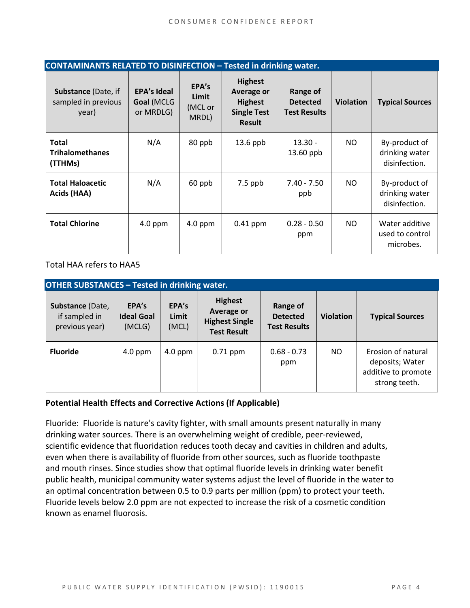| <b>CONTAMINANTS RELATED TO DISINFECTION - Tested in drinking water.</b> |                                               |                                    |                                                                                              |                                                           |                  |                                                  |  |
|-------------------------------------------------------------------------|-----------------------------------------------|------------------------------------|----------------------------------------------------------------------------------------------|-----------------------------------------------------------|------------------|--------------------------------------------------|--|
| Substance (Date, if<br>sampled in previous<br>year)                     | <b>EPA's Ideal</b><br>Goal (MCLG<br>or MRDLG) | EPA's<br>Limit<br>(MCL or<br>MRDL) | <b>Highest</b><br><b>Average or</b><br><b>Highest</b><br><b>Single Test</b><br><b>Result</b> | <b>Range of</b><br><b>Detected</b><br><b>Test Results</b> | <b>Violation</b> | <b>Typical Sources</b>                           |  |
| <b>Total</b><br><b>Trihalomethanes</b><br>(TTHMs)                       | N/A                                           | 80 ppb                             | $13.6$ ppb                                                                                   | $13.30 -$<br>13.60 ppb                                    | NO.              | By-product of<br>drinking water<br>disinfection. |  |
| <b>Total Haloacetic</b><br>Acids (HAA)                                  | N/A                                           | 60 ppb                             | $7.5$ ppb                                                                                    | $7.40 - 7.50$<br>ppb                                      | NO.              | By-product of<br>drinking water<br>disinfection. |  |
| <b>Total Chlorine</b>                                                   | $4.0$ ppm                                     | $4.0$ ppm                          | $0.41$ ppm                                                                                   | $0.28 - 0.50$<br>ppm                                      | NO.              | Water additive<br>used to control<br>microbes.   |  |

Total HAA refers to HAA5

| <b>OTHER SUBSTANCES - Tested in drinking water.</b> |                                      |                         |                                                                                    |                                                    |                  |                                                                               |  |  |
|-----------------------------------------------------|--------------------------------------|-------------------------|------------------------------------------------------------------------------------|----------------------------------------------------|------------------|-------------------------------------------------------------------------------|--|--|
| Substance (Date,<br>if sampled in<br>previous year) | EPA's<br><b>Ideal Goal</b><br>(MCLG) | EPA's<br>Limit<br>(MCL) | <b>Highest</b><br><b>Average or</b><br><b>Highest Single</b><br><b>Test Result</b> | Range of<br><b>Detected</b><br><b>Test Results</b> | <b>Violation</b> | <b>Typical Sources</b>                                                        |  |  |
| <b>Fluoride</b>                                     | $4.0$ ppm                            | $4.0$ ppm               | $0.71$ ppm                                                                         | $0.68 - 0.73$<br>ppm                               | NO.              | Erosion of natural<br>deposits; Water<br>additive to promote<br>strong teeth. |  |  |

#### **Potential Health Effects and Corrective Actions (If Applicable)**

Fluoride: Fluoride is nature's cavity fighter, with small amounts present naturally in many drinking water sources. There is an overwhelming weight of credible, peer-reviewed, scientific evidence that fluoridation reduces tooth decay and cavities in children and adults, even when there is availability of fluoride from other sources, such as fluoride toothpaste and mouth rinses. Since studies show that optimal fluoride levels in drinking water benefit public health, municipal community water systems adjust the level of fluoride in the water to an optimal concentration between 0.5 to 0.9 parts per million (ppm) to protect your teeth. Fluoride levels below 2.0 ppm are not expected to increase the risk of a cosmetic condition known as enamel fluorosis.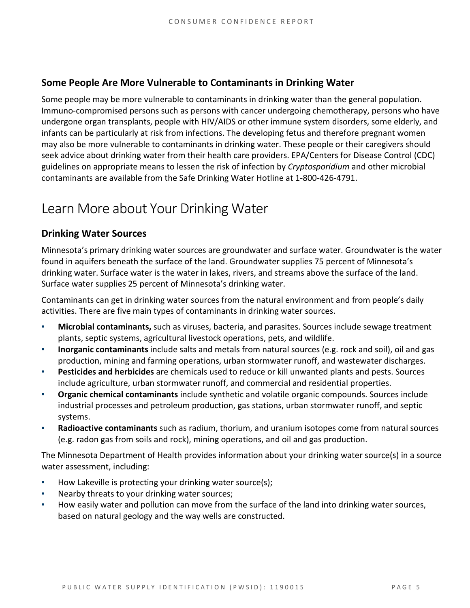### **Some People Are More Vulnerable to Contaminants in Drinking Water**

Some people may be more vulnerable to contaminants in drinking water than the general population. Immuno-compromised persons such as persons with cancer undergoing chemotherapy, persons who have undergone organ transplants, people with HIV/AIDS or other immune system disorders, some elderly, and infants can be particularly at risk from infections. The developing fetus and therefore pregnant women may also be more vulnerable to contaminants in drinking water. These people or their caregivers should seek advice about drinking water from their health care providers. EPA/Centers for Disease Control (CDC) guidelines on appropriate means to lessen the risk of infection by *Cryptosporidium* and other microbial contaminants are available from the Safe Drinking Water Hotline at 1-800-426-4791.

# Learn More about Your Drinking Water

## **Drinking Water Sources**

Minnesota's primary drinking water sources are groundwater and surface water. Groundwater is the water found in aquifers beneath the surface of the land. Groundwater supplies 75 percent of Minnesota's drinking water. Surface water is the water in lakes, rivers, and streams above the surface of the land. Surface water supplies 25 percent of Minnesota's drinking water.

Contaminants can get in drinking water sources from the natural environment and from people's daily activities. There are five main types of contaminants in drinking water sources.

- **Microbial contaminants,** such as viruses, bacteria, and parasites. Sources include sewage treatment plants, septic systems, agricultural livestock operations, pets, and wildlife.
- **Inorganic contaminants** include salts and metals from natural sources (e.g. rock and soil), oil and gas production, mining and farming operations, urban stormwater runoff, and wastewater discharges.
- **Pesticides and herbicides** are chemicals used to reduce or kill unwanted plants and pests. Sources include agriculture, urban stormwater runoff, and commercial and residential properties.
- **Organic chemical contaminants** include synthetic and volatile organic compounds. Sources include industrial processes and petroleum production, gas stations, urban stormwater runoff, and septic systems.
- **Radioactive contaminants** such as radium, thorium, and uranium isotopes come from natural sources (e.g. radon gas from soils and rock), mining operations, and oil and gas production.

The Minnesota Department of Health provides information about your drinking water source(s) in a source water assessment, including:

- How Lakeville is protecting your drinking water source(s);
- Nearby threats to your drinking water sources;
- How easily water and pollution can move from the surface of the land into drinking water sources, based on natural geology and the way wells are constructed.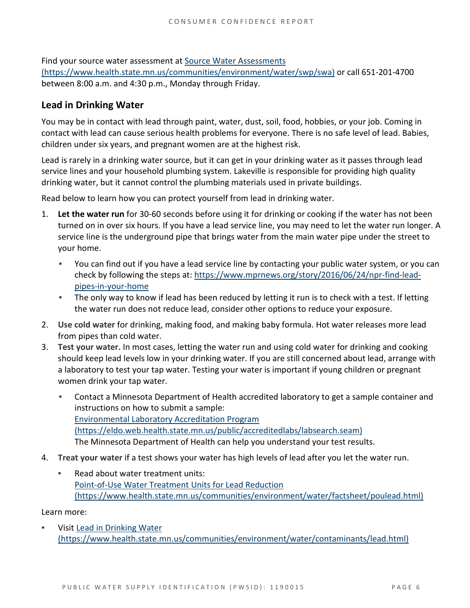Find your source water assessment a[t Source Water Assessments](https://www.health.state.mn.us/communities/environment/water/swp/swa)  [\(https://www.health.state.mn.us/communities/environment/water/swp/swa\)](https://www.health.state.mn.us/communities/environment/water/swp/swa) or call 651-201-4700 between 8:00 a.m. and 4:30 p.m., Monday through Friday.

## **Lead in Drinking Water**

You may be in contact with lead through paint, water, dust, soil, food, hobbies, or your job. Coming in contact with lead can cause serious health problems for everyone. There is no safe level of lead. Babies, children under six years, and pregnant women are at the highest risk.

Lead is rarely in a drinking water source, but it can get in your drinking water as it passes through lead service lines and your household plumbing system. Lakeville is responsible for providing high quality drinking water, but it cannot control the plumbing materials used in private buildings.

Read below to learn how you can protect yourself from lead in drinking water.

- 1. **Let the water run** for 30-60 seconds before using it for drinking or cooking if the water has not been turned on in over six hours. If you have a lead service line, you may need to let the water run longer. A service line is the underground pipe that brings water from the main water pipe under the street to your home.
	- You can find out if you have a lead service line by contacting your public water system, or you can check by following the steps at: [https://www.mprnews.org/story/2016/06/24/npr-find-lead](https://www.mprnews.org/story/2016/06/24/npr-find-lead-pipes-in-your-home)[pipes-in-your-home](https://www.mprnews.org/story/2016/06/24/npr-find-lead-pipes-in-your-home)
	- The only way to know if lead has been reduced by letting it run is to check with a test. If letting the water run does not reduce lead, consider other options to reduce your exposure.
- 2. **Use cold water** for drinking, making food, and making baby formula. Hot water releases more lead from pipes than cold water.
- 3. **Test your water.** In most cases, letting the water run and using cold water for drinking and cooking should keep lead levels low in your drinking water. If you are still concerned about lead, arrange with a laboratory to test your tap water. Testing your water is important if young children or pregnant women drink your tap water.
	- Contact a Minnesota Department of Health accredited laboratory to get a sample container and instructions on how to submit a sample: [Environmental Laboratory Accreditation Program](https://eldo.web.health.state.mn.us/public/accreditedlabs/labsearch.seam)  [\(https://eldo.web.health.state.mn.us/public/accreditedlabs/labsearch.seam\)](https://eldo.web.health.state.mn.us/public/accreditedlabs/labsearch.seam)  The Minnesota Department of Health can help you understand your test results.
- 4. **Treat your water** if a test shows your water has high levels of lead after you let the water run.
	- Read about water treatment units: [Point-of-Use Water Treatment Units for Lead Reduction](https://www.health.state.mn.us/communities/environment/water/factsheet/poulead.html)  [\(https://www.health.state.mn.us/communities/environment/water/factsheet/poulead.html\)](https://www.health.state.mn.us/communities/environment/water/factsheet/poulead.html)

Learn more:

Visit Lead in Drinking Water [\(https://www.health.state.mn.us/communities/environment/water/contaminants/lead.html\)](https://www.health.state.mn.us/communities/environment/water/contaminants/lead.html)